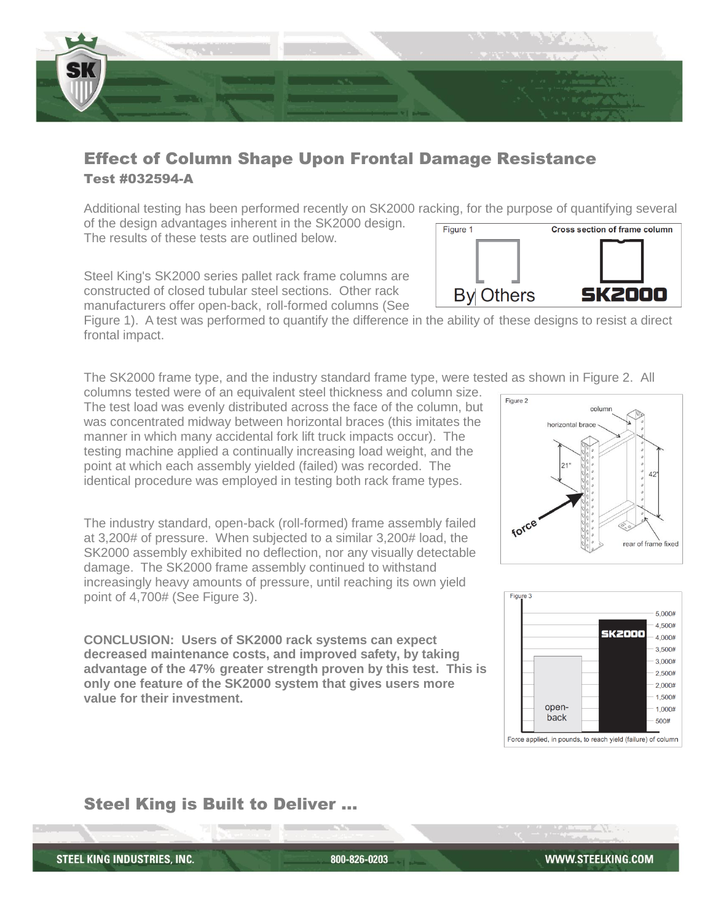

## Effect of Column Shape Upon Frontal Damage Resistance Test #032594-A

Additional testing has been performed recently on SK2000 racking, for the purpose of quantifying several of the design advantages inherent in the SK2000 design. **Cross section of frame column** Figure 1 The results of these tests are outlined below.

Steel King's SK2000 series pallet rack frame columns are constructed of closed tubular steel sections. Other rack manufacturers offer open-back, roll-formed columns (See

Figure 1). A test was performed to quantify the difference in the ability of these designs to resist a direct frontal impact.

The SK2000 frame type, and the industry standard frame type, were tested as shown in Figure 2. All

columns tested were of an equivalent steel thickness and column size. The test load was evenly distributed across the face of the column, but was concentrated midway between horizontal braces (this imitates the manner in which many accidental fork lift truck impacts occur). The testing machine applied a continually increasing load weight, and the point at which each assembly yielded (failed) was recorded. The identical procedure was employed in testing both rack frame types.

The industry standard, open-back (roll-formed) frame assembly failed at 3,200# of pressure. When subjected to a similar 3,200# load, the SK2000 assembly exhibited no deflection, nor any visually detectable damage. The SK2000 frame assembly continued to withstand increasingly heavy amounts of pressure, until reaching its own yield point of 4,700# (See Figure 3).

**CONCLUSION: Users of SK2000 rack systems can expect decreased maintenance costs, and improved safety, by taking advantage of the 47% greater strength proven by this test. This is only one feature of the SK2000 system that gives users more value for their investment.**

## Steel King is Built to Deliver …